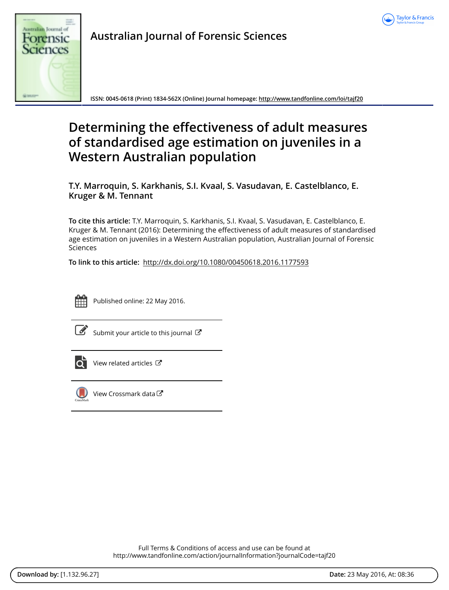



**Australian Journal of Forensic Sciences**

**ISSN: 0045-0618 (Print) 1834-562X (Online) Journal homepage: <http://www.tandfonline.com/loi/tajf20>**

# **Determining the effectiveness of adult measures of standardised age estimation on juveniles in a Western Australian population**

**T.Y. Marroquin, S. Karkhanis, S.I. Kvaal, S. Vasudavan, E. Castelblanco, E. Kruger & M. Tennant**

**To cite this article:** T.Y. Marroquin, S. Karkhanis, S.I. Kvaal, S. Vasudavan, E. Castelblanco, E. Kruger & M. Tennant (2016): Determining the effectiveness of adult measures of standardised age estimation on juveniles in a Western Australian population, Australian Journal of Forensic Sciences

**To link to this article:** <http://dx.doi.org/10.1080/00450618.2016.1177593>



Published online: 22 May 2016.

[Submit your article to this journal](http://www.tandfonline.com/action/authorSubmission?journalCode=tajf20&page=instructions)  $\mathbb{Z}$ 



[View related articles](http://www.tandfonline.com/doi/mlt/10.1080/00450618.2016.1177593)  $\mathbb{Z}$ 



 $\bigcirc$  [View Crossmark data](http://crossmark.crossref.org/dialog/?doi=10.1080/00450618.2016.1177593&domain=pdf&date_stamp=2016-05-22) $\mathbb{Z}$ 

Full Terms & Conditions of access and use can be found at <http://www.tandfonline.com/action/journalInformation?journalCode=tajf20>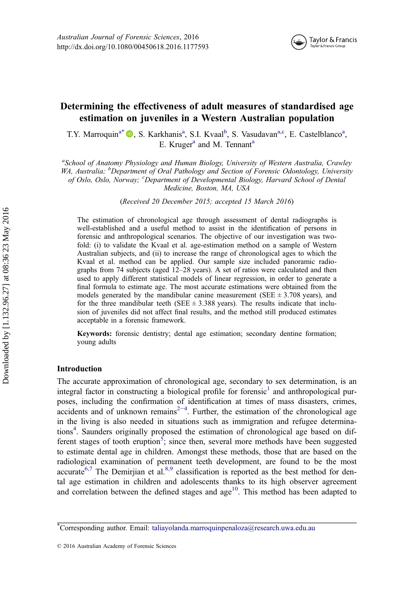

# <span id="page-1-0"></span>Determining the effectiveness of adult measures of standardised age estimation on juveniles in a Western Australian population

T.Y. Marroquin<sup>a\*</sup> <sup>®</sup>[,](http://orcid.org/0000-0002-3335-5305) S. Karkhanis<sup>a</sup>, S.I. Kvaal<sup>b</sup>, S. Vasudavan<sup>a,c</sup>, E. Castelblanco<sup>a</sup>, E. Kruger<sup>a</sup> and M. Tennant<sup>a</sup>

<sup>a</sup>School of Anatomy Physiology and Human Biology, University of Western Australia, Crawley WA, Australia; <sup>b</sup>Department of Oral Pathology and Section of Forensic Odontology, University of Oslo, Oslo, Norway; 'Department of Developmental Biology, Harvard School of Dental Medicine, Boston, MA, USA

(Received 20 December 2015; accepted 15 March 2016)

The estimation of chronological age through assessment of dental radiographs is well-established and a useful method to assist in the identification of persons in forensic and anthropological scenarios. The objective of our investigation was twofold: (i) to validate the Kvaal et al. age-estimation method on a sample of Western Australian subjects, and (ii) to increase the range of chronological ages to which the Kvaal et al. method can be applied. Our sample size included panoramic radiographs from 74 subjects (aged 12–28 years). A set of ratios were calculated and then used to apply different statistical models of linear regression, in order to generate a final formula to estimate age. The most accurate estimations were obtained from the models generated by the mandibular canine measurement (SEE  $\pm$  3.708 years), and for the three mandibular teeth (SEE  $\pm$  3.388 years). The results indicate that inclusion of juveniles did not affect final results, and the method still produced estimates acceptable in a forensic framework.

Keywords: forensic dentistry; dental age estimation; secondary dentine formation; young adults

# Introduction

The accurate approximation of chronological age, secondary to sex determination, is an integral factor in constructing a biological profile for forensic<sup>1</sup> and anthropological purposes, including the confirmation of identification at times of mass disasters, crimes,  $\alpha$  accidents and of unknown remains<sup>2-4</sup>. Further, the estimation of the chronological age in the living is also needed in situations such as immigration and refugee determina-tions<sup>[4](#page-8-0)</sup>. Saunders originally proposed the estimation of chronological age based on dif-ferent stages of tooth eruption<sup>[5](#page-8-0)</sup>; since then, several more methods have been suggested to estimate dental age in children. Amongst these methods, those that are based on the radiological examination of permanent teeth development, are found to be the most accurate<sup>[6,7](#page-8-0)</sup> The Demiriian et al.<sup>[8,9](#page-8-0)</sup> classification is reported as the best method for dental age estimation in children and adolescents thanks to its high observer agreement and correlation between the defined stages and  $age<sup>10</sup>$ . This method has been adapted to

<sup>\*</sup> Corresponding author. Email: [taliayolanda.marroquinpenaloza@research.uwa.edu.au](mailto:taliayolanda.marroquinpenaloza@research.uwa.edu.au)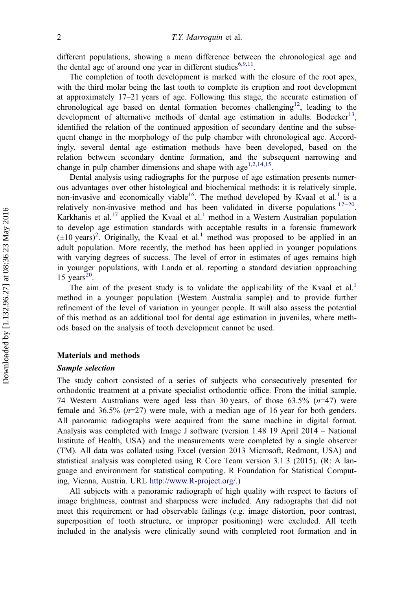<span id="page-2-0"></span>different populations, showing a mean difference between the chronological age and the dental age of around one year in different studies $6,9,11$ .

The completion of tooth development is marked with the closure of the root apex, with the third molar being the last tooth to complete its eruption and root development at approximately 17–21 years of age. Following this stage, the accurate estimation of chronological age based on dental formation becomes challenging<sup>12</sup>, leading to the development of alternative methods of dental age estimation in adults. Bodecker<sup>13</sup>, identified the relation of the continued apposition of secondary dentine and the subsequent change in the morphology of the pulp chamber with chronological age. Accordingly, several dental age estimation methods have been developed, based on the relation between secondary dentine formation, and the subsequent narrowing and change in pulp chamber dimensions and shape with age<sup>[1](#page-8-0),[2,14,15](#page-8-0)</sup>.

Dental analysis using radiographs for the purpose of age estimation presents numerous advantages over other histological and biochemical methods: it is relatively simple, non-invasive and economically viable<sup>[1](#page-8-0)6</sup>. The method developed by Kvaal et al.<sup>1</sup> is a relatively non-invasive method and has been validated in diverse populations  $17-20$ . Karkhanis et al.<sup>[17](#page-9-0)</sup> applied the Kvaal et al.<sup>[1](#page-8-0)</sup> method in a Western Australian population to develop age estimation standards with acceptable results in a forensic framework  $(\pm 10 \text{ years})^2$  $(\pm 10 \text{ years})^2$ . Originally, the Kvaal et al.<sup>[1](#page-8-0)</sup> method was proposed to be applied in an adult population. More recently, the method has been applied in younger populations with varying degrees of success. The level of error in estimates of ages remains high in younger populations, with Landa et al. reporting a standard deviation approaching 15 years $20$ .

The aim of the present study is to validate the applicability of the Kvaal et al.<sup>[1](#page-8-0)</sup> method in a younger population (Western Australia sample) and to provide further refinement of the level of variation in younger people. It will also assess the potential of this method as an additional tool for dental age estimation in juveniles, where methods based on the analysis of tooth development cannot be used.

# Materials and methods

# Sample selection

The study cohort consisted of a series of subjects who consecutively presented for orthodontic treatment at a private specialist orthodontic office. From the initial sample, 74 Western Australians were aged less than 30 years, of those  $63.5\%$   $(n=47)$  were female and  $36.5\%$  ( $n=27$ ) were male, with a median age of 16 year for both genders. All panoramic radiographs were acquired from the same machine in digital format. Analysis was completed with Image J software (version 1.48 19 April 2014 – National Institute of Health, USA) and the measurements were completed by a single observer (TM). All data was collated using Excel (version 2013 Microsoft, Redmont, USA) and statistical analysis was completed using R Core Team version 3.1.3 (2015). (R: A language and environment for statistical computing. R Foundation for Statistical Computing, Vienna, Austria. URL [http://www.R-project.org/.](http://www.R-project.org/))

All subjects with a panoramic radiograph of high quality with respect to factors of image brightness, contrast and sharpness were included. Any radiographs that did not meet this requirement or had observable failings (e.g. image distortion, poor contrast, superposition of tooth structure, or improper positioning) were excluded. All teeth included in the analysis were clinically sound with completed root formation and in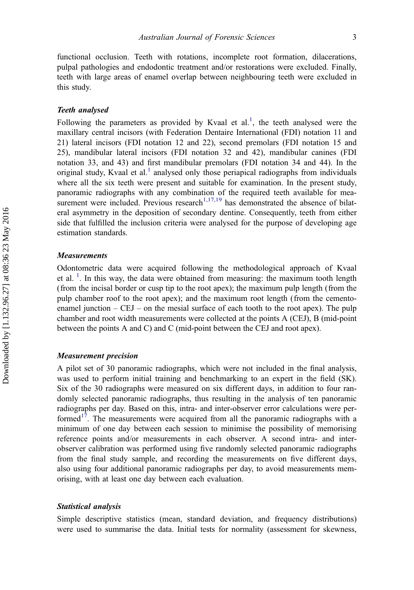functional occlusion. Teeth with rotations, incomplete root formation, dilacerations, pulpal pathologies and endodontic treatment and/or restorations were excluded. Finally, teeth with large areas of enamel overlap between neighbouring teeth were excluded in this study.

#### Teeth analysed

Following the parameters as provided by Kvaal et al.<sup>[1](#page-8-0)</sup>, the teeth analysed were the maxillary central incisors (with Federation Dentaire International (FDI) notation 11 and 21) lateral incisors (FDI notation 12 and 22), second premolars (FDI notation 15 and 25), mandibular lateral incisors (FDI notation 32 and 42), mandibular canines (FDI notation 33, and 43) and first mandibular premolars (FDI notation 34 and 44). In the original study, Kvaal et al.<sup>[1](#page-8-0)</sup> analysed only those periapical radiographs from individuals where all the six teeth were present and suitable for examination. In the present study, panoramic radiographs with any combination of the required teeth available for mea-surement were included. Previous research<sup>[1,17,19](#page-8-0)</sup> has demonstrated the absence of bilateral asymmetry in the deposition of secondary dentine. Consequently, teeth from either side that fulfilled the inclusion criteria were analysed for the purpose of developing age estimation standards.

# **Measurements**

Odontometric data were acquired following the methodological approach of Kvaal et al.<sup>[1](#page-8-0)</sup>. In this way, the data were obtained from measuring: the maximum tooth length (from the incisal border or cusp tip to the root apex); the maximum pulp length (from the pulp chamber roof to the root apex); and the maximum root length (from the cementoenamel junction  $-$  CEJ  $-$  on the mesial surface of each tooth to the root apex). The pulp chamber and root width measurements were collected at the points A (CEJ), B (mid-point between the points A and C) and C (mid-point between the CEJ and root apex).

#### Measurement precision

A pilot set of 30 panoramic radiographs, which were not included in the final analysis, was used to perform initial training and benchmarking to an expert in the field (SK). Six of the 30 radiographs were measured on six different days, in addition to four randomly selected panoramic radiographs, thus resulting in the analysis of ten panoramic radiographs per day. Based on this, intra- and inter-observer error calculations were performed $17$ . The measurements were acquired from all the panoramic radiographs with a minimum of one day between each session to minimise the possibility of memorising reference points and/or measurements in each observer. A second intra- and interobserver calibration was performed using five randomly selected panoramic radiographs from the final study sample, and recording the measurements on five different days, also using four additional panoramic radiographs per day, to avoid measurements memorising, with at least one day between each evaluation.

#### Statistical analysis

Simple descriptive statistics (mean, standard deviation, and frequency distributions) were used to summarise the data. Initial tests for normality (assessment for skewness,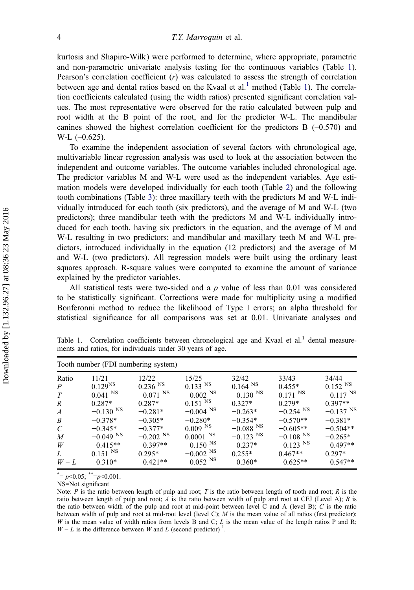<span id="page-4-0"></span>kurtosis and Shapiro-Wilk) were performed to determine, where appropriate, parametric and non-parametric univariate analysis testing for the continuous variables (Table 1). Pearson's correlation coefficient  $(r)$  was calculated to assess the strength of correlation between age and dental ratios based on the Kvaal et al.<sup>1</sup> method (Table 1). The correlation coefficients calculated (using the width ratios) presented significant correlation values. The most representative were observed for the ratio calculated between pulp and root width at the B point of the root, and for the predictor W-L. The mandibular canines showed the highest correlation coefficient for the predictors  $B$  ( $-0.570$ ) and  $W-L$  (-0.625).

To examine the independent association of several factors with chronological age, multivariable linear regression analysis was used to look at the association between the independent and outcome variables. The outcome variables included chronological age. The predictor variables M and W-L were used as the independent variables. Age estimation models were developed individually for each tooth (Table [2\)](#page-5-0) and the following tooth combinations (Table [3](#page-5-0)): three maxillary teeth with the predictors M and W-L individually introduced for each tooth (six predictors), and the average of M and W-L (two predictors); three mandibular teeth with the predictors M and W-L individually introduced for each tooth, having six predictors in the equation, and the average of M and W-L resulting in two predictors; and mandibular and maxillary teeth M and W-L predictors, introduced individually in the equation (12 predictors) and the average of M and W-L (two predictors). All regression models were built using the ordinary least squares approach. R-square values were computed to examine the amount of variance explained by the predictor variables.

All statistical tests were two-sided and a  $p$  value of less than 0.01 was considered to be statistically significant. Corrections were made for multiplicity using a modified Bonferonni method to reduce the likelihood of Type I errors; an alpha threshold for statistical significance for all comparisons was set at 0.01. Univariate analyses and

| Tooth number (FDI numbering system) |                        |                        |                        |                        |                        |                        |  |  |
|-------------------------------------|------------------------|------------------------|------------------------|------------------------|------------------------|------------------------|--|--|
| Ratio                               | 11/21                  | 12/22                  | 15/25                  | 32/42                  | 33/43                  | 34/44                  |  |  |
| $\boldsymbol{P}$                    | $0.129^{NS}$           | $0.236$ <sup>NS</sup>  | $0.133$ <sup>NS</sup>  | $0.164^{NSS}$          | $0.455*$               | $0.152$ <sup>NS</sup>  |  |  |
| T                                   | $0.041$ <sup>NS</sup>  | $-0.071$ <sup>NS</sup> | $-0.002$ <sup>NS</sup> | $-0.130$ <sup>NS</sup> | $0.171^{N}$            | $-0.117$ <sup>NS</sup> |  |  |
| R                                   | $0.287*$               | $0.287*$               | $0.151$ <sup>NS</sup>  | $0.327*$               | $0.279*$               | $0.397**$              |  |  |
| $\boldsymbol{A}$                    | $-0.130$ <sup>NS</sup> | $-0.281*$              | $-0.004$ <sup>NS</sup> | $-0.263*$              | $-0.254$ <sup>NS</sup> | $-0.137$ <sup>NS</sup> |  |  |
| B                                   | $-0.378*$              | $-0.305*$              | $-0.280*$              | $-0.354*$              | $-0.570**$             | $-0.381*$              |  |  |
| $\mathcal{C}_{\mathcal{C}}$         | $-0.345*$              | $-0.377*$              | 0.009 <sup>NS</sup>    | $-0.088$ <sup>NS</sup> | $-0.605**$             | $-0.504**$             |  |  |
| $\boldsymbol{M}$                    | $-0.049$ <sup>NS</sup> | $-0.202$ <sup>NS</sup> | $0.0001$ <sup>NS</sup> | $-0.123$ <sup>NS</sup> | $-0.108$ <sup>NS</sup> | $-0.265*$              |  |  |
| W                                   | $-0.415**$             | $-0.397**$             | $-0.150$ <sup>NS</sup> | $-0.237*$              | $-0.123$ <sup>NS</sup> | $-0.497**$             |  |  |
| L                                   | $0.151$ NS             | $0.295*$               | $-0.002$ <sup>NS</sup> | $0.255*$               | $0.467**$              | $0.297*$               |  |  |
| $W - L$                             | $-0.310*$              | $-0.421**$             | $-0.052$ <sup>NS</sup> | $-0.360*$              | $-0.625**$             | $-0.547**$             |  |  |

Table 1. Correlation coefficients between chronological age and Kvaal et al.<sup>1</sup> dental measurements and ratios, for individuals under 30 years of age.

 $j^* = p \le 0.05;$   $j^* = p \le 0.001$ .

NS=Not significant

Note: P is the ratio between length of pulp and root; T is the ratio between length of tooth and root; R is the ratio between length of pulp and root; A is the ratio between width of pulp and root at CEJ (Level A); B is the ratio between width of the pulp and root at mid-point between level C and A (level B);  $C$  is the ratio between width of pulp and root at mid-root level (level C);  $M$  is the mean value of all ratios (first predictor); W is the mean value of width ratios from levels B and C; L is the mean value of the length ratios P and R;  $W - L$  is the difference between W and L (second predictor)<sup>1</sup>.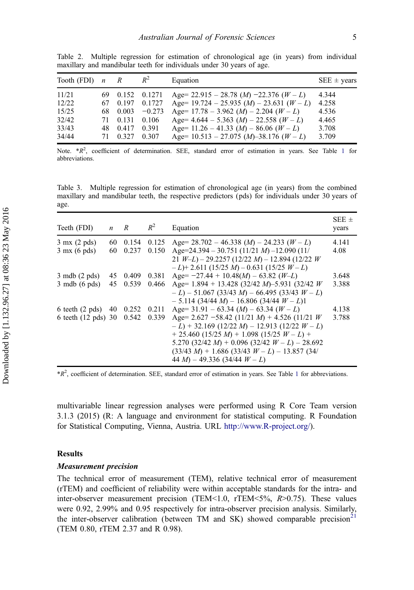| Tooth (FDI) | $\boldsymbol{n}$ | R     | $R^2$    | Equation                                                           | $SEE \pm \text{years}$ |
|-------------|------------------|-------|----------|--------------------------------------------------------------------|------------------------|
| 11/21       | 69.              | 0.152 | 0.1271   | Age= 22.915 - 28.78 $(M)$ -22.376 $(W - L)$                        | 4.344                  |
| 12/22       | 67.              | 0.197 | 0.1727   | Age= $19.724 - 25.935$ ( <i>M</i> ) $- 23.631$ ( <i>W - L</i> )    | 4.258                  |
| 15/25       | 68.              | 0.003 | $-0.273$ | Age= $17.78 - 3.962$ ( <i>M</i> ) $- 2.204$ ( <i>W - L</i> )       | 4.536                  |
| 32/42       | 71.              | 0.131 | 0.106    | Age = $4.644 - 5.363$ ( <i>M</i> ) $- 22.558$ ( <i>W - L</i> )     | 4.465                  |
| 33/43       | 48               | 0.417 | 0.391    | Age= $11.26 - 41.33$ ( <i>M</i> ) $- 86.06$ ( <i>W - L</i> )       | 3.708                  |
| 34/44       | 71               | 0.327 | 0.307    | Age= $10.513 - 27.075$ ( <i>M</i> )-38.176 ( <i>W</i> - <i>L</i> ) | 3.709                  |

<span id="page-5-0"></span>Table 2. Multiple regression for estimation of chronological age (in years) from individual maxillary and mandibular teeth for individuals under 30 years of age.

Note.  $*R^2$ , coefficient of determination. SEE, standard error of estimation in years. See Table [1](#page-4-0) for abbreviations.

Table 3. Multiple regression for estimation of chronological age (in years) from the combined maxillary and mandibular teeth, the respective predictors (pds) for individuals under 30 years of age.

| Teeth (FDI)                      | $\boldsymbol{n}$ | $\overline{R}$ | $R^2$ | Equation                                                                                                                                                                                                                                                                                     | SEE $\pm$<br>years |
|----------------------------------|------------------|----------------|-------|----------------------------------------------------------------------------------------------------------------------------------------------------------------------------------------------------------------------------------------------------------------------------------------------|--------------------|
| $3 \text{ mx}$ (2 pds)           | 60               | 0.154          | 0.125 | Age= $28.702 - 46.338$ ( <i>M</i> ) $- 24.233$ ( <i>W - L</i> )                                                                                                                                                                                                                              | 4.141              |
| $3$ mx (6 pds)                   | 60               | 0.237          | 0.150 | Age=24.394 – 30.751 (11/21 M) –12.090 (11/<br>21 $W-L$ ) – 29.2257 (12/22 M) – 12.894 (12/22 W)<br>$-L$ )+2.611 (15/25 M) – 0.631 (15/25 W – L)                                                                                                                                              | 4.08               |
| $3 \text{ mdb} (2 \text{ pds})$  | 45               | 0.409          | 0.381 | Age = $-27.44 + 10.48(M) - 63.82 (W-L)$                                                                                                                                                                                                                                                      | 3.648              |
| $3 \text{ mdb } (6 \text{ pds})$ | 45               | 0.539          | 0.466 | Age= $1.894 + 13.428$ (32/42 M)-5.931 (32/42 W)<br>$-L$ ) – 51.067 (33/43 M) – 66.495 (33/43 W – L)<br>$-5.114$ (34/44 M) $-16.806$ (34/44 W $- L$ )1                                                                                                                                        | 3.388              |
| 6 teeth $(2 \text{ pds})$ 40     |                  | 0.252          | 0.211 | Age = $31.91 - 63.34$ ( <i>M</i> ) $- 63.34$ ( <i>W</i> $- L$ )                                                                                                                                                                                                                              | 4.138              |
| 6 teeth (12 pds) 30              |                  | 0.542          | 0.339 | Age= 2.627 -58.42 (11/21 M) + 4.526 (11/21 W)<br>$-L$ ) + 32.169 (12/22 M) – 12.913 (12/22 W – L)<br>$+$ 25.460 (15/25 M) + 1.098 (15/25 W – L) +<br>5.270 (32/42 M) + 0.096 (32/42 $W - L$ ) – 28.692<br>$(33/43 M) + 1.686 (33/43 W - L) - 13.857 (34/$<br>44 M) – 49.336 (34/44 $W - L$ ) | 3.788              |

 $*R^2$ , coefficient of determination. SEE, standard error of estimation in years. See Table [1](#page-4-0) for abbreviations.

multivariable linear regression analyses were performed using R Core Team version 3.1.3 (2015) (R: A language and environment for statistical computing. R Foundation for Statistical Computing, Vienna, Austria. URL [http://www.R-project.org/\)](http://www.R-project.org/).

#### Results

#### Measurement precision

The technical error of measurement (TEM), relative technical error of measurement (rTEM) and coefficient of reliability were within acceptable standards for the intra- and inter-observer measurement precision (TEM<1.0, rTEM<5%,  $R > 0.75$ ). These values were 0.92, 2.99% and 0.95 respectively for intra-observer precision analysis. Similarly, the inter-observer calibration (between TM and SK) showed comparable precision<sup>[21](#page-9-0)</sup> (TEM 0.80, rTEM 2.37 and R 0.98).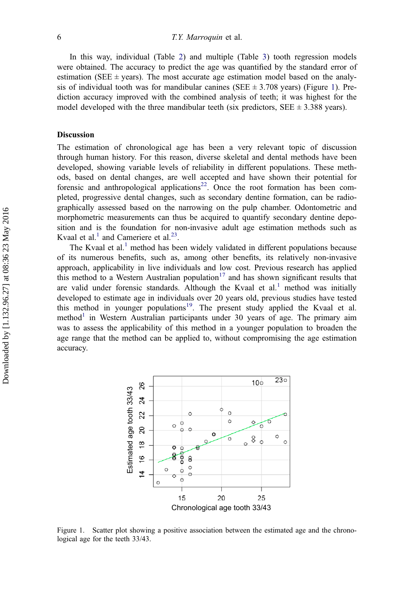<span id="page-6-0"></span>In this way, individual (Table [2](#page-5-0)) and multiple (Table [3\)](#page-5-0) tooth regression models were obtained. The accuracy to predict the age was quantified by the standard error of estimation (SEE  $\pm$  years). The most accurate age estimation model based on the analysis of individual tooth was for mandibular canines (SEE  $\pm$  3.708 years) (Figure 1). Prediction accuracy improved with the combined analysis of teeth; it was highest for the model developed with the three mandibular teeth (six predictors,  $SEE \pm 3.388$  years).

#### **Discussion**

The estimation of chronological age has been a very relevant topic of discussion through human history. For this reason, diverse skeletal and dental methods have been developed, showing variable levels of reliability in different populations. These methods, based on dental changes, are well accepted and have shown their potential for forensic and anthropological applications<sup>22</sup>. Once the root formation has been completed, progressive dental changes, such as secondary dentine formation, can be radiographically assessed based on the narrowing on the pulp chamber. Odontometric and morphometric measurements can thus be acquired to quantify secondary dentine deposition and is the foundation for non-invasive adult age estimation methods such as Kvaal et al.<sup>[1](#page-8-0)</sup> and Cameriere et al.<sup>[23](#page-9-0)</sup>.

The Kvaal et al.<sup>1</sup> method has been widely validated in different populations because of its numerous benefits, such as, among other benefits, its relatively non-invasive approach, applicability in live individuals and low cost. Previous research has applied this method to a Western Australian population<sup>[17](#page-9-0)</sup> and has shown significant results that are valid under forensic standards. Although the Kvaal et  $al<sup>1</sup>$  $al<sup>1</sup>$  $al<sup>1</sup>$  method was initially developed to estimate age in individuals over 20 years old, previous studies have tested this method in younger populations<sup>[19](#page-9-0)</sup>. The present study applied the Kvaal et al. method<sup>[1](#page-8-0)</sup> in Western Australian participants under 30 years of age. The primary aim was to assess the applicability of this method in a younger population to broaden the age range that the method can be applied to, without compromising the age estimation accuracy.



Figure 1. Scatter plot showing a positive association between the estimated age and the chronological age for the teeth 33/43.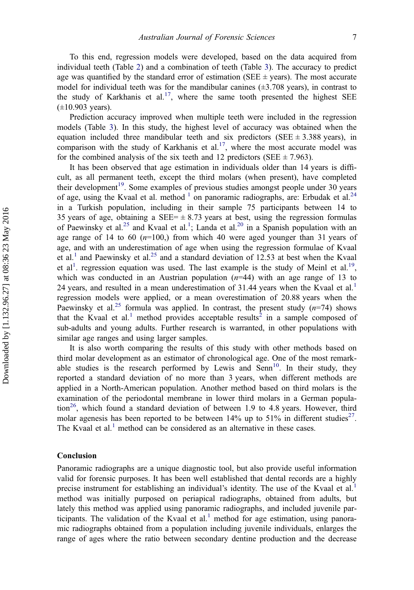<span id="page-7-0"></span>To this end, regression models were developed, based on the data acquired from individual teeth (Table [2\)](#page-5-0) and a combination of teeth (Table [3](#page-5-0)). The accuracy to predict age was quantified by the standard error of estimation (SEE  $\pm$  years). The most accurate model for individual teeth was for the mandibular canines  $(\pm 3.708 \text{ years})$ , in contrast to the study of Karkhanis et al.<sup>17</sup>, where the same tooth presented the highest SEE  $(\pm 10.903 \text{ years})$ .

Prediction accuracy improved when multiple teeth were included in the regression models (Table [3](#page-5-0)). In this study, the highest level of accuracy was obtained when the equation included three mandibular teeth and six predictors (SEE  $\pm$  3.388 years), in comparison with the study of Karkhanis et al.<sup>17</sup>, where the most accurate model was for the combined analysis of the six teeth and 12 predictors (SEE  $\pm$  7.963).

It has been observed that age estimation in individuals older than 14 years is difficult, as all permanent teeth, except the third molars (when present), have completed their development<sup>19</sup>. Some examples of previous studies amongst people under 30 years of age, using the Kvaal et al. method  $\frac{1}{1}$  $\frac{1}{1}$  $\frac{1}{1}$  on panoramic radiographs, are: Erbudak et al.<sup>[24](#page-9-0)</sup> in a Turkish population, including in their sample 75 participants between 14 to 35 years of age, obtaining a SEE= $\pm$  8.73 years at best, using the regression formulas of Paewinsky et al.<sup>[25](#page-9-0)</sup> and Kvaal et al.<sup>[1](#page-8-0)</sup>; Landa et al.<sup>[20](#page-9-0)</sup> in a Spanish population with an age range of 14 to 60  $(n=100)$ , from which 40 were aged younger than 31 years of age, and with an underestimation of age when using the regression formulae of Kvaal et al.<sup>[1](#page-8-0)</sup> and Paewinsky et al.<sup>[25](#page-9-0)</sup> and a standard deviation of 12.53 at best when the Kvaal et al<sup>[1](#page-8-0)</sup>. regression equation was used. The last example is the study of Meinl et al.<sup>19</sup>, which was conducted in an Austrian population  $(n=44)$  with an age range of 13 to 24 years, and resulted in a mean underestimation of  $31.44$  $31.44$  $31.44$  years when the Kvaal et al.<sup>1</sup> regression models were applied, or a mean overestimation of 20.88 years when the Paewinsky et al.<sup>[25](#page-9-0)</sup> formula was applied. In contrast, the present study  $(n=74)$  shows that the Kvaal et al.<sup>[1](#page-8-0)</sup> method provides acceptable results<sup>[2](#page-8-0)</sup> in a sample composed of sub-adults and young adults. Further research is warranted, in other populations with similar age ranges and using larger samples.

It is also worth comparing the results of this study with other methods based on third molar development as an estimator of chronological age. One of the most remarkable studies is the research performed by Lewis and  $\text{Senn}^{10}$ . In their study, they reported a standard deviation of no more than 3 years, when different methods are applied in a North-American population. Another method based on third molars is the examination of the periodontal membrane in lower third molars in a German population<sup>26</sup>, which found a standard deviation of between 1.9 to 4.8 years. However, third molar agenesis has been reported to be between 14% up to 51% in different studies<sup>27</sup>. The Kvaal et al.<sup>[1](#page-8-0)</sup> method can be considered as an alternative in these cases.

# Conclusion

Panoramic radiographs are a unique diagnostic tool, but also provide useful information valid for forensic purposes. It has been well established that dental records are a highly precise instrument for establishing an individual's identity. The use of the Kvaal et al.<sup>[1](#page-8-0)</sup> method was initially purposed on periapical radiographs, obtained from adults, but lately this method was applied using panoramic radiographs, and included juvenile participants. The validation of the Kvaal et al. $<sup>1</sup>$  method for age estimation, using panora-</sup> mic radiographs obtained from a population including juvenile individuals, enlarges the range of ages where the ratio between secondary dentine production and the decrease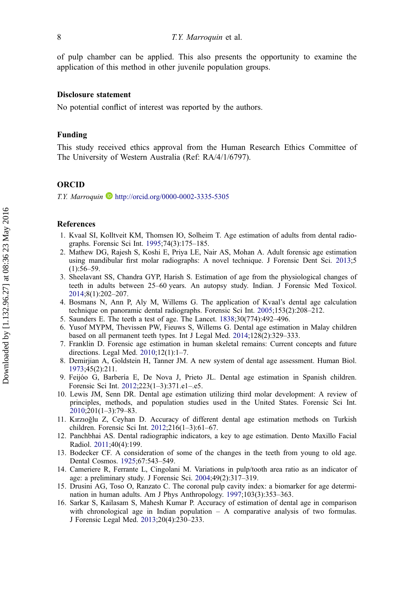<span id="page-8-0"></span>of pulp chamber can be applied. This also presents the opportunity to examine the application of this method in other juvenile population groups.

#### Disclosure statement

No potential conflict of interest was reported by the authors.

# Funding

This study received ethics approval from the Human Research Ethics Committee of The University of Western Australia (Ref: RA/4/1/6797).

# ORCID

T.Y. Marroquin  $\bullet$  <http://orcid.org/0000-0002-3335-5305>

# References

- 1. Kvaal SI, Kolltveit KM, Thomsen IO, Solheim T. Age estimation of adults from dental radiographs. Forensic Sci Int. [1995;](#page-1-0)74(3):175–185.
- 2. Mathew DG, Rajesh S, Koshi E, Priya LE, Nair AS, Mohan A. Adult forensic age estimation using mandibular first molar radiographs: A novel technique. J Forensic Dent Sci. [2013](#page-2-0);5  $(1):56-59.$
- 3. Sheelavant SS, Chandra GYP, Harish S. Estimation of age from the physiological changes of teeth in adults between 25–60 years. An autopsy study. Indian. J Forensic Med Toxicol. 2014;8(1):202–207.
- 4. Bosmans N, Ann P, Aly M, Willems G. The application of Kvaal's dental age calculation technique on panoramic dental radiographs. Forensic Sci Int. [2005;](#page-1-0)153(2):208–212.
- 5. Saunders E. The teeth a test of age. The Lancet. [1838;](#page-1-0)30(774):492–496.
- 6. Yusof MYPM, Thevissen PW, Fieuws S, Willems G. Dental age estimation in Malay children based on all permanent teeth types. Int J Legal Med. 2014;128(2):329–333.
- 7. Franklin D. Forensic age estimation in human skeletal remains: Current concepts and future directions. Legal Med. 2010;12(1):1–7.
- 8. Demirjian A, Goldstein H, Tanner JM. A new system of dental age assessment. Human Biol. 1973;45(2):211.
- 9. Feijóo G, Barbería E, De Nova J, Prieto JL. Dental age estimation in Spanish children. Forensic Sci Int. 2012;223(1–3):371.e1–.e5.
- 10. Lewis JM, Senn DR. Dental age estimation utilizing third molar development: A review of principles, methods, and population studies used in the United States. Forensic Sci Int. [2010](#page-1-0);201(1–3):79–83.
- 11. Kırzıoğlu Z, Ceyhan D. Accuracy of different dental age estimation methods on Turkish children. Forensic Sci Int. 2012;216(1–3):61–67.
- 12. Panchbhai AS. Dental radiographic indicators, a key to age estimation. Dento Maxillo Facial Radiol. [2011;](#page-2-0)40(4):199.
- 13. Bodecker CF. A consideration of some of the changes in the teeth from young to old age. Dental Cosmos. [1925;](#page-2-0)67:543–549.
- 14. Cameriere R, Ferrante L, Cingolani M. Variations in pulp/tooth area ratio as an indicator of age: a preliminary study. J Forensic Sci. 2004;49(2):317–319.
- 15. Drusini AG, Toso O, Ranzato C. The coronal pulp cavity index: a biomarker for age determination in human adults. Am J Phys Anthropology. 1997;103(3):353–363.
- 16. Sarkar S, Kailasam S, Mahesh Kumar P. Accuracy of estimation of dental age in comparison with chronological age in Indian population  $- A$  comparative analysis of two formulas. J Forensic Legal Med. [2013;](#page-2-0)20(4):230–233.